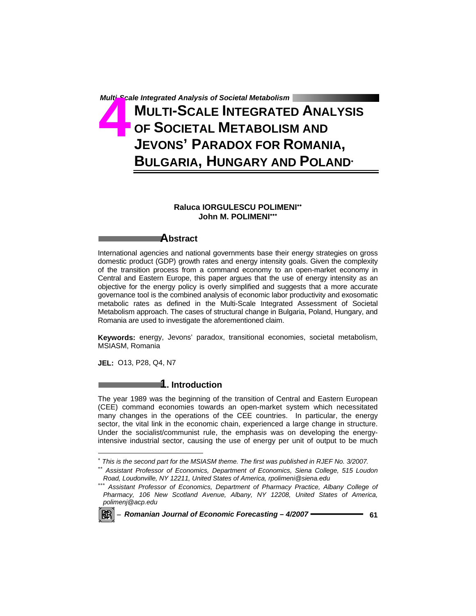# *Multi-Scale Integrated Analysis of Societal Metabolism*<br> **447 MULTI-SCALE INTEGRATE<br>
447 OF SOCIETAL METABOLISI**<br> **447 JEVONS' PARADOX FOR R MULTI-SCALE INTEGRATED ANALYSIS OF SOCIETAL METABOLISM AND JEVONS' PARADOX FOR ROMANIA, BULGARIA, HUNGARY AND POLAND**<sup>∗</sup>

# **Raluca IORGULESCU POLIMENI**∗∗ John M. POLIMENI<sup>\*</sup>\*\*

# **Abstract**

International agencies and national governments base their energy strategies on gross domestic product (GDP) growth rates and energy intensity goals. Given the complexity of the transition process from a command economy to an open-market economy in Central and Eastern Europe, this paper argues that the use of energy intensity as an objective for the energy policy is overly simplified and suggests that a more accurate governance tool is the combined analysis of economic labor productivity and exosomatic metabolic rates as defined in the Multi-Scale Integrated Assessment of Societal Metabolism approach. The cases of structural change in Bulgaria, Poland, Hungary, and Romania are used to investigate the aforementioned claim.

**Keywords:** energy, Jevons' paradox, transitional economies, societal metabolism, MSIASM, Romania

**JEL:** O13, P28, Q4, N7

# **1. Introduction**

The year 1989 was the beginning of the transition of Central and Eastern European (CEE) command economies towards an open-market system which necessitated many changes in the operations of the CEE countries. In particular, the energy sector, the vital link in the economic chain, experienced a large change in structure. Under the socialist/communist rule, the emphasis was on developing the energyintensive industrial sector, causing the use of energy per unit of output to be much

<sup>∗∗∗</sup> *Assistant Professor of Economics, Department of Pharmacy Practice, Albany College of Pharmacy, 106 New Scotland Avenue, Albany, NY 12208, United States of America, polimenj@acp.edu* 



l

<sup>∗</sup>  *This is the second part for the MSIASM theme. The first was published in RJEF No. 3/2007.* 

<sup>∗∗</sup> *Assistant Professor of Economics, Department of Economics, Siena College, 515 Loudon Road, Loudonville, NY 12211, United States of America, rpolimeni@siena.edu*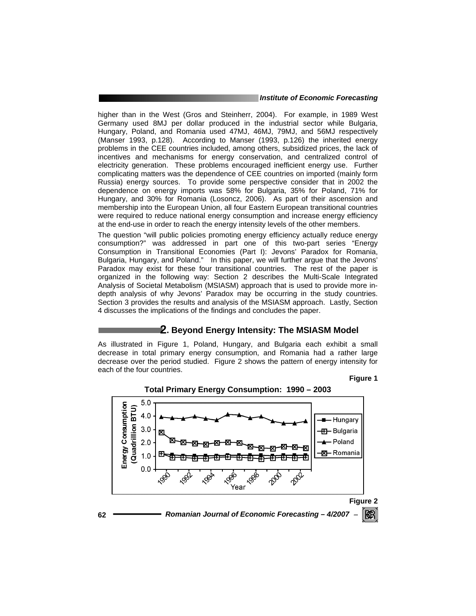higher than in the West (Gros and Steinherr, 2004). For example, in 1989 West Germany used 8MJ per dollar produced in the industrial sector while Bulgaria, Hungary, Poland, and Romania used 47MJ, 46MJ, 79MJ, and 56MJ respectively (Manser 1993, p.128). According to Manser (1993, p.126) the inherited energy problems in the CEE countries included, among others, subsidized prices, the lack of incentives and mechanisms for energy conservation, and centralized control of electricity generation. These problems encouraged inefficient energy use. Further complicating matters was the dependence of CEE countries on imported (mainly form Russia) energy sources. To provide some perspective consider that in 2002 the dependence on energy imports was 58% for Bulgaria, 35% for Poland, 71% for Hungary, and 30% for Romania (Losoncz, 2006). As part of their ascension and membership into the European Union, all four Eastern European transitional countries were required to reduce national energy consumption and increase energy efficiency at the end-use in order to reach the energy intensity levels of the other members.

The question "will public policies promoting energy efficiency actually reduce energy consumption?" was addressed in part one of this two-part series "Energy Consumption in Transitional Economies (Part I): Jevons' Paradox for Romania, Bulgaria, Hungary, and Poland." In this paper, we will further argue that the Jevons' Paradox may exist for these four transitional countries. The rest of the paper is organized in the following way: Section 2 describes the Multi-Scale Integrated Analysis of Societal Metabolism (MSIASM) approach that is used to provide more indepth analysis of why Jevons' Paradox may be occurring in the study countries. Section 3 provides the results and analysis of the MSIASM approach. Lastly, Section 4 discusses the implications of the findings and concludes the paper.

# **2. Beyond Energy Intensity: The MSIASM Model**

As illustrated in Figure 1, Poland, Hungary, and Bulgaria each exhibit a small decrease in total primary energy consumption, and Romania had a rather large decrease over the period studied. Figure 2 shows the pattern of energy intensity for each of the four countries.

**Figure 1** 

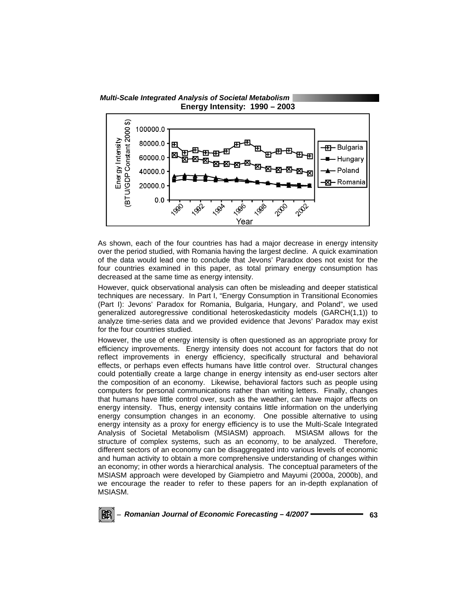

As shown, each of the four countries has had a major decrease in energy intensity over the period studied, with Romania having the largest decline. A quick examination of the data would lead one to conclude that Jevons' Paradox does not exist for the four countries examined in this paper, as total primary energy consumption has decreased at the same time as energy intensity.

However, quick observational analysis can often be misleading and deeper statistical techniques are necessary. In Part I, "Energy Consumption in Transitional Economies (Part I): Jevons' Paradox for Romania, Bulgaria, Hungary, and Poland", we used generalized autoregressive conditional heteroskedasticity models (GARCH(1,1)) to analyze time-series data and we provided evidence that Jevons' Paradox may exist for the four countries studied.

However, the use of energy intensity is often questioned as an appropriate proxy for efficiency improvements. Energy intensity does not account for factors that do not reflect improvements in energy efficiency, specifically structural and behavioral effects, or perhaps even effects humans have little control over. Structural changes could potentially create a large change in energy intensity as end-user sectors alter the composition of an economy. Likewise, behavioral factors such as people using computers for personal communications rather than writing letters. Finally, changes that humans have little control over, such as the weather, can have major affects on energy intensity. Thus, energy intensity contains little information on the underlying energy consumption changes in an economy. One possible alternative to using energy intensity as a proxy for energy efficiency is to use the Multi-Scale Integrated Analysis of Societal Metabolism (MSIASM) approach. MSIASM allows for the structure of complex systems, such as an economy, to be analyzed. Therefore, different sectors of an economy can be disaggregated into various levels of economic and human activity to obtain a more comprehensive understanding of changes within an economy; in other words a hierarchical analysis. The conceptual parameters of the MSIASM approach were developed by Giampietro and Mayumi (2000a, 2000b), and we encourage the reader to refer to these papers for an in-depth explanation of MSIASM.

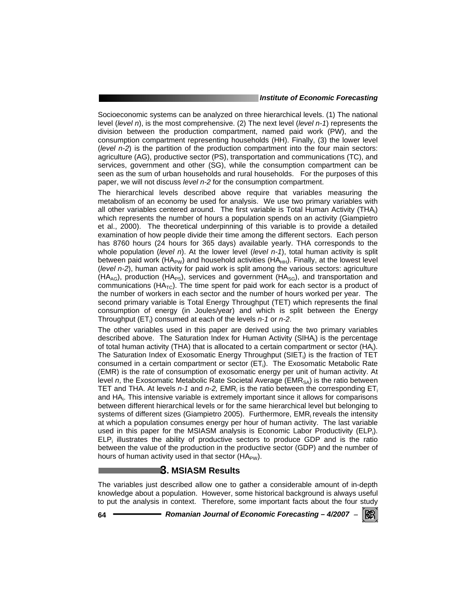Socioeconomic systems can be analyzed on three hierarchical levels. (1) The national level (*level n*), is the most comprehensive. (2) The next level (*level n-1*) represents the division between the production compartment, named paid work (PW), and the consumption compartment representing households (HH). Finally, (3) the lower level (*level n-2*) is the partition of the production compartment into the four main sectors: agriculture (AG), productive sector (PS), transportation and communications (TC), and services, government and other (SG), while the consumption compartment can be seen as the sum of urban households and rural households. For the purposes of this paper, we will not discuss *level n-2* for the consumption compartment.

The hierarchical levels described above require that variables measuring the metabolism of an economy be used for analysis. We use two primary variables with all other variables centered around. The first variable is Total Human Activity (THA<sub>i</sub>) which represents the number of hours a population spends on an activity (Giampietro et al., 2000). The theoretical underpinning of this variable is to provide a detailed examination of how people divide their time among the different sectors. Each person has 8760 hours (24 hours for 365 days) available yearly. THA corresponds to the whole population (*level n*). At the lower level (*level n-1*), total human activity is split between paid work ( $HA_{PW}$ ) and household activities ( $HA_{HH}$ ). Finally, at the lowest level (*level n-2*), human activity for paid work is split among the various sectors: agriculture  $(HA_{AG})$ , production  $(HA_{PS})$ , services and government  $(HA_{SG})$ , and transportation and communications ( $HA_{TC}$ ). The time spent for paid work for each sector is a product of the number of workers in each sector and the number of hours worked per year. The second primary variable is Total Energy Throughput (TET) which represents the final consumption of energy (in Joules/year) and which is split between the Energy Throughput (ET<sub>i</sub>) consumed at each of the levels *n-1* or *n-2*.

The other variables used in this paper are derived using the two primary variables described above. The Saturation Index for Human Activity (SIHA<sub>i</sub>) is the percentage of total human activity (THA) that is allocated to a certain compartment or sector (HAi ). The Saturation Index of Exosomatic Energy Throughput (SIET<sub>i</sub>) is the fraction of TET consumed in a certain compartment or sector (ET<sub>i</sub>). The Exosomatic Metabolic Rate (EMR) is the rate of consumption of exosomatic energy per unit of human activity. At level n, the Exosomatic Metabolic Rate Societal Average (EMR<sub>SA</sub>) is the ratio between TET and THA. At levels *n-1* and *n-2*, EMR<sub>i</sub> is the ratio between the corresponding ET<sub>i</sub> and HA<sub>i</sub>. This intensive variable is extremely important since it allows for comparisons between different hierarchical levels or for the same hierarchical level but belonging to systems of different sizes (Giampietro 2005). Furthermore, EMR<sub>i</sub> reveals the intensity at which a population consumes energy per hour of human activity. The last variable used in this paper for the MSIASM analysis is Economic Labor Productivity (ELP;).  $ELP_i$  illustrates the ability of productive sectors to produce GDP and is the ratio between the value of the production in the productive sector (GDP) and the number of hours of human activity used in that sector  $(HA_{PW})$ .

## **3. MSIASM Results**

The variables just described allow one to gather a considerable amount of in-depth knowledge about a population. However, some historical background is always useful to put the analysis in context. Therefore, some important facts about the four study

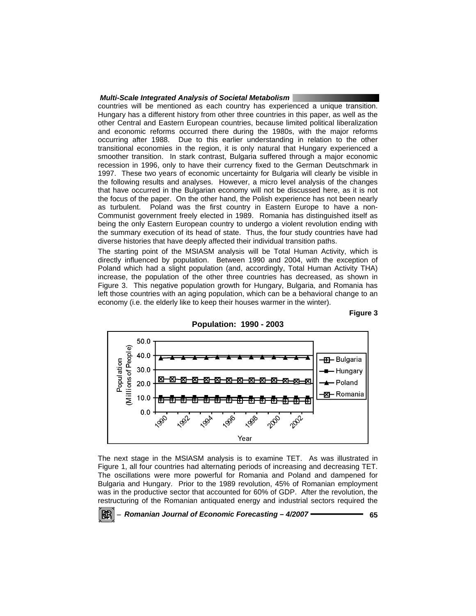countries will be mentioned as each country has experienced a unique transition. Hungary has a different history from other three countries in this paper, as well as the other Central and Eastern European countries, because limited political liberalization and economic reforms occurred there during the 1980s, with the major reforms occurring after 1988. Due to this earlier understanding in relation to the other transitional economies in the region, it is only natural that Hungary experienced a smoother transition. In stark contrast, Bulgaria suffered through a major economic recession in 1996, only to have their currency fixed to the German Deutschmark in 1997. These two years of economic uncertainty for Bulgaria will clearly be visible in the following results and analyses. However, a micro level analysis of the changes that have occurred in the Bulgarian economy will not be discussed here, as it is not the focus of the paper. On the other hand, the Polish experience has not been nearly as turbulent. Poland was the first country in Eastern Europe to have a non-Communist government freely elected in 1989. Romania has distinguished itself as being the only Eastern European country to undergo a violent revolution ending with the summary execution of its head of state. Thus, the four study countries have had diverse histories that have deeply affected their individual transition paths.

The starting point of the MSIASM analysis will be Total Human Activity, which is directly influenced by population. Between 1990 and 2004, with the exception of Poland which had a slight population (and, accordingly, Total Human Activity THA) increase, the population of the other three countries has decreased, as shown in Figure 3. This negative population growth for Hungary, Bulgaria, and Romania has left those countries with an aging population, which can be a behavioral change to an economy (i.e. the elderly like to keep their houses warmer in the winter).

## **Figure 3**



The next stage in the MSIASM analysis is to examine TET. As was illustrated in Figure 1, all four countries had alternating periods of increasing and decreasing TET. The oscillations were more powerful for Romania and Poland and dampened for Bulgaria and Hungary. Prior to the 1989 revolution, 45% of Romanian employment was in the productive sector that accounted for 60% of GDP. After the revolution, the restructuring of the Romanian antiquated energy and industrial sectors required the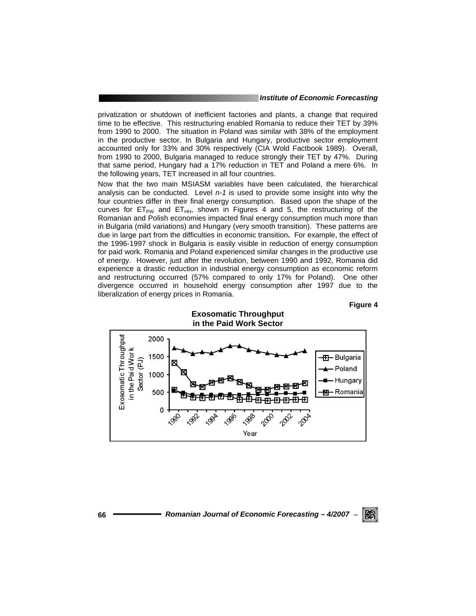privatization or shutdown of inefficient factories and plants, a change that required time to be effective. This restructuring enabled Romania to reduce their TET by 39% from 1990 to 2000. The situation in Poland was similar with 38% of the employment in the productive sector. In Bulgaria and Hungary, productive sector employment accounted only for 33% and 30% respectively (CIA Wold Factbook 1989). Overall, from 1990 to 2000, Bulgaria managed to reduce strongly their TET by 47%. During that same period, Hungary had a 17% reduction in TET and Poland a mere 6%. In the following years, TET increased in all four countries.

Now that the two main MSIASM variables have been calculated, the hierarchical analysis can be conducted. Level *n-1* is used to provide some insight into why the four countries differ in their final energy consumption. Based upon the shape of the curves for  $ET_{PW}$  and  $ET_{HH}$ , shown in Figures 4 and 5, the restructuring of the Romanian and Polish economies impacted final energy consumption much more than in Bulgaria (mild variations) and Hungary (very smooth transition). These patterns are due in large part from the difficulties in economic transition**.** For example, the effect of the 1996-1997 shock in Bulgaria is easily visible in reduction of energy consumption for paid work. Romania and Poland experienced similar changes in the productive use of energy. However, just after the revolution, between 1990 and 1992, Romania did experience a drastic reduction in industrial energy consumption as economic reform and restructuring occurred (57% compared to only 17% for Poland). One other divergence occurred in household energy consumption after 1997 due to the liberalization of energy prices in Romania.



## **Figure 4**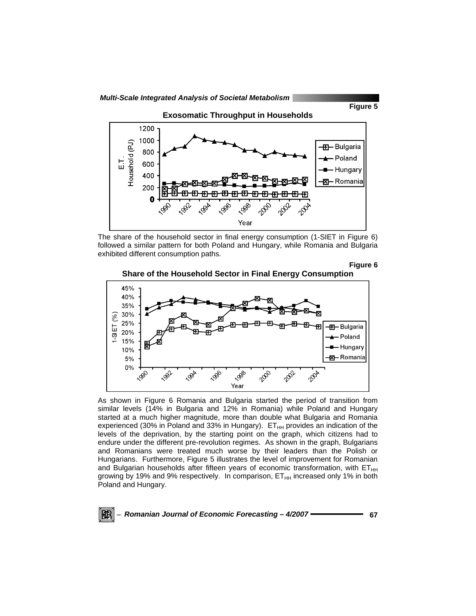





The share of the household sector in final energy consumption (1-SIET in Figure 6) followed a similar pattern for both Poland and Hungary, while Romania and Bulgaria exhibited different consumption paths.

**Figure 6** 





As shown in Figure 6 Romania and Bulgaria started the period of transition from similar levels (14% in Bulgaria and 12% in Romania) while Poland and Hungary started at a much higher magnitude, more than double what Bulgaria and Romania experienced (30% in Poland and 33% in Hungary).  $ET<sub>HH</sub>$  provides an indication of the levels of the deprivation, by the starting point on the graph, which citizens had to endure under the different pre-revolution regimes. As shown in the graph, Bulgarians and Romanians were treated much worse by their leaders than the Polish or Hungarians. Furthermore, Figure 5 illustrates the level of improvement for Romanian and Bulgarian households after fifteen years of economic transformation, with  $ET_{HH}$ growing by 19% and 9% respectively. In comparison,  $ET<sub>HH</sub>$  increased only 1% in both Poland and Hungary.

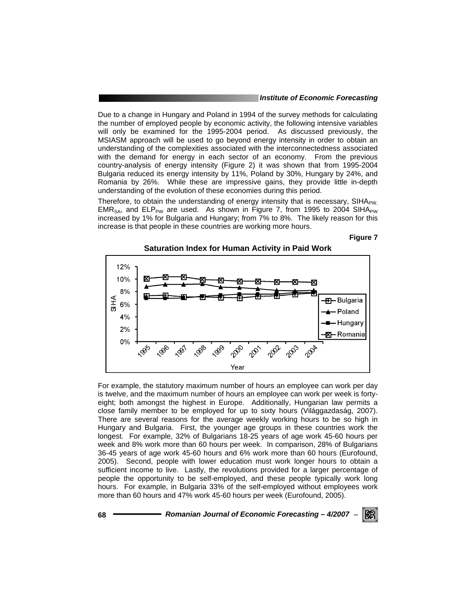Due to a change in Hungary and Poland in 1994 of the survey methods for calculating the number of employed people by economic activity, the following intensive variables will only be examined for the 1995-2004 period. As discussed previously, the MSIASM approach will be used to go beyond energy intensity in order to obtain an understanding of the complexities associated with the interconnectedness associated with the demand for energy in each sector of an economy. From the previous country-analysis of energy intensity (Figure 2) it was shown that from 1995-2004 Bulgaria reduced its energy intensity by 11%, Poland by 30%, Hungary by 24%, and Romania by 26%. While these are impressive gains, they provide little in-depth understanding of the evolution of these economies during this period.

Therefore, to obtain the understanding of energy intensity that is necessary, SIHA $_{\text{PW}}$ EMR<sub>SA</sub>, and ELP<sub>PW</sub> are used. As shown in Figure 7, from 1995 to 2004 SIHA<sub>PW</sub> increased by 1% for Bulgaria and Hungary; from 7% to 8%. The likely reason for this increase is that people in these countries are working more hours.

**Figure 7** 



For example, the statutory maximum number of hours an employee can work per day is twelve, and the maximum number of hours an employee can work per week is fortyeight; both amongst the highest in Europe. Additionally, Hungarian law permits a close family member to be employed for up to sixty hours (Világgazdaság, 2007). There are several reasons for the average weekly working hours to be so high in Hungary and Bulgaria. First, the younger age groups in these countries work the longest. For example, 32% of Bulgarians 18-25 years of age work 45-60 hours per week and 8% work more than 60 hours per week. In comparison, 28% of Bulgarians 36-45 years of age work 45-60 hours and 6% work more than 60 hours (Eurofound, 2005). Second, people with lower education must work longer hours to obtain a sufficient income to live. Lastly, the revolutions provided for a larger percentage of people the opportunity to be self-employed, and these people typically work long hours. For example, in Bulgaria 33% of the self-employed without employees work more than 60 hours and 47% work 45-60 hours per week (Eurofound, 2005).

**68** *Romanian Journal of Economic Forecasting – 4/2007* <sup>−</sup>

**IRERI**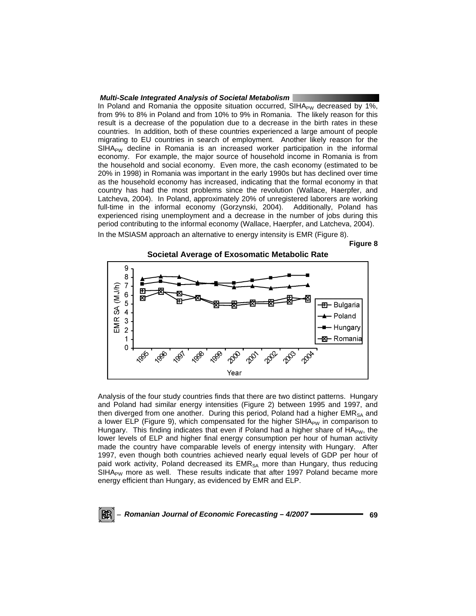In Poland and Romania the opposite situation occurred, SIHA<sub>PW</sub> decreased by 1%, from 9% to 8% in Poland and from 10% to 9% in Romania. The likely reason for this result is a decrease of the population due to a decrease in the birth rates in these countries. In addition, both of these countries experienced a large amount of people migrating to EU countries in search of employment. Another likely reason for the  $SIHA<sub>PW</sub>$  decline in Romania is an increased worker participation in the informal economy. For example, the major source of household income in Romania is from the household and social economy. Even more, the cash economy (estimated to be 20% in 1998) in Romania was important in the early 1990s but has declined over time as the household economy has increased, indicating that the formal economy in that country has had the most problems since the revolution (Wallace, Haerpfer, and Latcheva, 2004). In Poland, approximately 20% of unregistered laborers are working full-time in the informal economy (Gorzynski, 2004). Additionally, Poland has experienced rising unemployment and a decrease in the number of jobs during this period contributing to the informal economy (Wallace, Haerpfer, and Latcheva, 2004). In the MSIASM approach an alternative to energy intensity is EMR (Figure 8).

**Figure 8** 



Analysis of the four study countries finds that there are two distinct patterns. Hungary and Poland had similar energy intensities (Figure 2) between 1995 and 1997, and then diverged from one another. During this period, Poland had a higher EMR<sub>SA</sub> and a lower ELP (Figure 9), which compensated for the higher SIHA<sub>PW</sub> in comparison to Hungary. This finding indicates that even if Poland had a higher share of  $HA_{PW}$ , the lower levels of ELP and higher final energy consumption per hour of human activity made the country have comparable levels of energy intensity with Hungary. After 1997, even though both countries achieved nearly equal levels of GDP per hour of paid work activity, Poland decreased its  $EMR_{SA}$  more than Hungary, thus reducing SIHA<sub>PW</sub> more as well. These results indicate that after 1997 Poland became more energy efficient than Hungary, as evidenced by EMR and ELP.

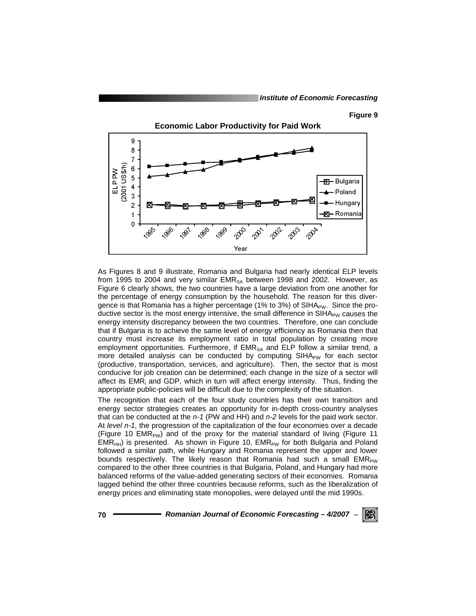#### **Figure 9**



As Figures 8 and 9 illustrate, Romania and Bulgaria had nearly identical ELP levels from 1995 to 2004 and very similar  $EMR_{SA}$  between 1998 and 2002. However, as Figure 6 clearly shows, the two countries have a large deviation from one another for the percentage of energy consumption by the household. The reason for this divergence is that Romania has a higher percentage (1% to 3%) of  $SHA_{PW}$ . Since the productive sector is the most energy intensive, the small difference in  $SHA_{PW}$  causes the energy intensity discrepancy between the two countries. Therefore, one can conclude that if Bulgaria is to achieve the same level of energy efficiency as Romania then that country must increase its employment ratio in total population by creating more employment opportunities. Furthermore, if  $EMR<sub>SA</sub>$  and ELP follow a similar trend, a more detailed analysis can be conducted by computing  $SIHA_{PW}$  for each sector (productive, transportation, services, and agriculture). Then, the sector that is most conducive for job creation can be determined; each change in the size of a sector will affect its EMR<sub>i</sub> and GDP, which in turn will affect energy intensity. Thus, finding the appropriate public-policies will be difficult due to the complexity of the situation.

The recognition that each of the four study countries has their own transition and energy sector strategies creates an opportunity for in-depth cross-country analyses that can be conducted at the *n-1* (PW and HH) and *n-2* levels for the paid work sector. At *level n-1,* the progression of the capitalization of the four economies over a decade (Figure 10 EMR<sub>PW</sub>) and of the proxy for the material standard of living (Figure 11  $EMR<sub>HH</sub>$ ) is presented. As shown in Figure 10,  $EMR<sub>PW</sub>$  for both Bulgaria and Poland followed a similar path, while Hungary and Romania represent the upper and lower bounds respectively. The likely reason that Romania had such a small  $EMR_{PW}$ compared to the other three countries is that Bulgaria, Poland, and Hungary had more balanced reforms of the value-added generating sectors of their economies. Romania lagged behind the other three countries because reforms, such as the liberalization of energy prices and eliminating state monopolies, were delayed until the mid 1990s.

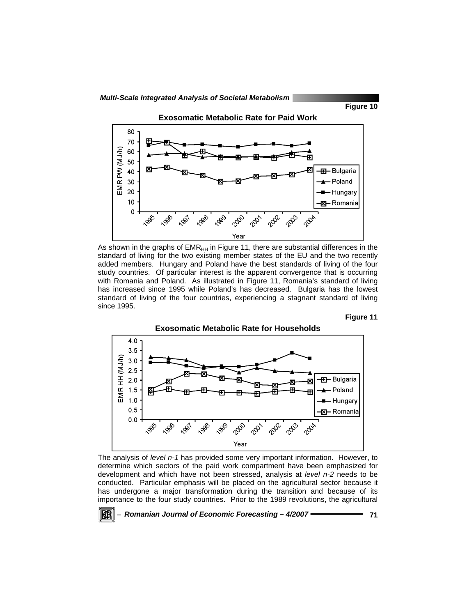





As shown in the graphs of  $EMR<sub>HH</sub>$  in Figure 11, there are substantial differences in the standard of living for the two existing member states of the EU and the two recently added members. Hungary and Poland have the best standards of living of the four study countries. Of particular interest is the apparent convergence that is occurring with Romania and Poland. As illustrated in Figure 11, Romania's standard of living has increased since 1995 while Poland's has decreased. Bulgaria has the lowest standard of living of the four countries, experiencing a stagnant standard of living since 1995.





The analysis of *level n-1* has provided some very important information. However, to determine which sectors of the paid work compartment have been emphasized for development and which have not been stressed, analysis at *level n-2* needs to be conducted. Particular emphasis will be placed on the agricultural sector because it has undergone a major transformation during the transition and because of its importance to the four study countries. Prior to the 1989 revolutions, the agricultural

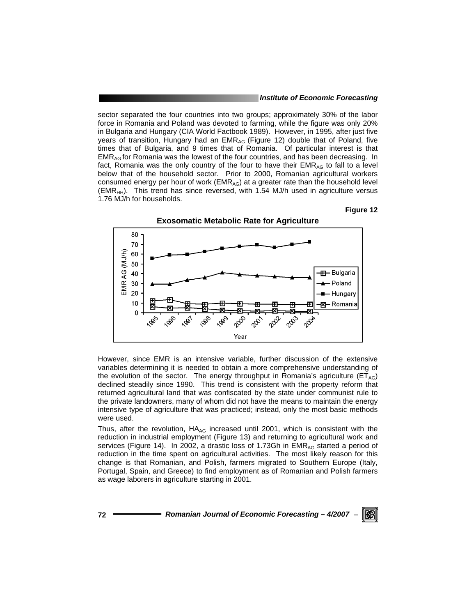sector separated the four countries into two groups; approximately 30% of the labor force in Romania and Poland was devoted to farming, while the figure was only 20% in Bulgaria and Hungary (CIA World Factbook 1989). However, in 1995, after just five years of transition, Hungary had an EMR<sub>AG</sub> (Figure 12) double that of Poland, five times that of Bulgaria, and 9 times that of Romania. Of particular interest is that EMRAG for Romania was the lowest of the four countries, and has been decreasing. In fact, Romania was the only country of the four to have their  $EMR_{AG}$  to fall to a level below that of the household sector. Prior to 2000, Romanian agricultural workers consumed energy per hour of work ( $EMR_{AG}$ ) at a greater rate than the household level  $(EMR<sub>HH</sub>)$ . This trend has since reversed, with 1.54 MJ/h used in agriculture versus 1.76 MJ/h for households.

#### **Figure 12**



However, since EMR is an intensive variable, further discussion of the extensive variables determining it is needed to obtain a more comprehensive understanding of the evolution of the sector. The energy throughput in Romania's agriculture ( $ET_{AG}$ ) declined steadily since 1990. This trend is consistent with the property reform that returned agricultural land that was confiscated by the state under communist rule to the private landowners, many of whom did not have the means to maintain the energy intensive type of agriculture that was practiced; instead, only the most basic methods were used.

Thus, after the revolution,  $HA_{AG}$  increased until 2001, which is consistent with the reduction in industrial employment (Figure 13) and returning to agricultural work and services (Figure 14). In 2002, a drastic loss of 1.73Gh in EMR<sub>AG</sub> started a period of reduction in the time spent on agricultural activities. The most likely reason for this change is that Romanian, and Polish, farmers migrated to Southern Europe (Italy, Portugal, Spain, and Greece) to find employment as of Romanian and Polish farmers as wage laborers in agriculture starting in 2001.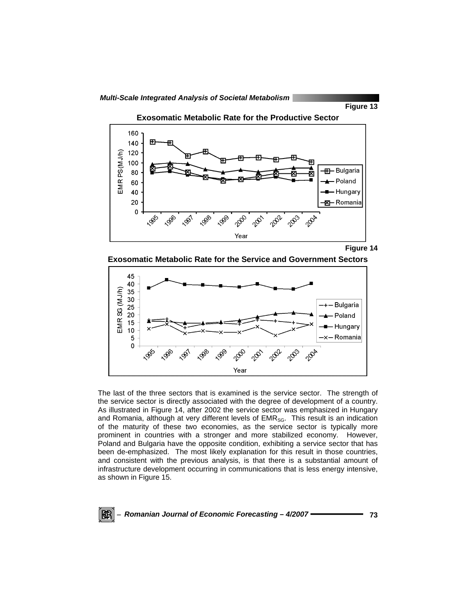

**Exosomatic Metabolic Rate for the Productive Sector** 





**Exosomatic Metabolic Rate for the Service and Government Sectors** 



The last of the three sectors that is examined is the service sector. The strength of the service sector is directly associated with the degree of development of a country. As illustrated in Figure 14, after 2002 the service sector was emphasized in Hungary and Romania, although at very different levels of EMR<sub>SG</sub>. This result is an indication of the maturity of these two economies, as the service sector is typically more prominent in countries with a stronger and more stabilized economy. However, Poland and Bulgaria have the opposite condition, exhibiting a service sector that has been de-emphasized. The most likely explanation for this result in those countries, and consistent with the previous analysis, is that there is a substantial amount of infrastructure development occurring in communications that is less energy intensive, as shown in Figure 15.

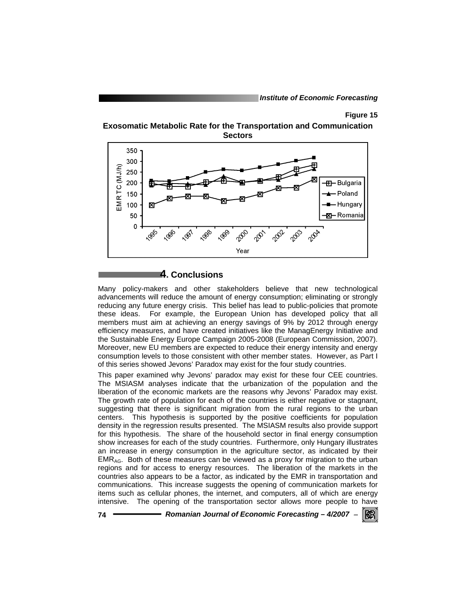## **Figure 15**





# **4. Conclusions**

Many policy-makers and other stakeholders believe that new technological advancements will reduce the amount of energy consumption; eliminating or strongly reducing any future energy crisis. This belief has lead to public-policies that promote these ideas. For example, the European Union has developed policy that all members must aim at achieving an energy savings of 9% by 2012 through energy efficiency measures, and have created initiatives like the ManagEnergy Initiative and the Sustainable Energy Europe Campaign 2005-2008 (European Commission, 2007). Moreover, new EU members are expected to reduce their energy intensity and energy consumption levels to those consistent with other member states. However, as Part I of this series showed Jevons' Paradox may exist for the four study countries.

This paper examined why Jevons' paradox may exist for these four CEE countries. The MSIASM analyses indicate that the urbanization of the population and the liberation of the economic markets are the reasons why Jevons' Paradox may exist. The growth rate of population for each of the countries is either negative or stagnant, suggesting that there is significant migration from the rural regions to the urban centers. This hypothesis is supported by the positive coefficients for population density in the regression results presented. The MSIASM results also provide support for this hypothesis. The share of the household sector in final energy consumption show increases for each of the study countries. Furthermore, only Hungary illustrates an increase in energy consumption in the agriculture sector, as indicated by their  $EMR<sub>AG</sub>$ . Both of these measures can be viewed as a proxy for migration to the urban regions and for access to energy resources. The liberation of the markets in the countries also appears to be a factor, as indicated by the EMR in transportation and communications. This increase suggests the opening of communication markets for items such as cellular phones, the internet, and computers, all of which are energy intensive. The opening of the transportation sector allows more people to have

**74** *Romanian Journal of Economic Forecasting – 4/2007* <sup>−</sup>

IKERI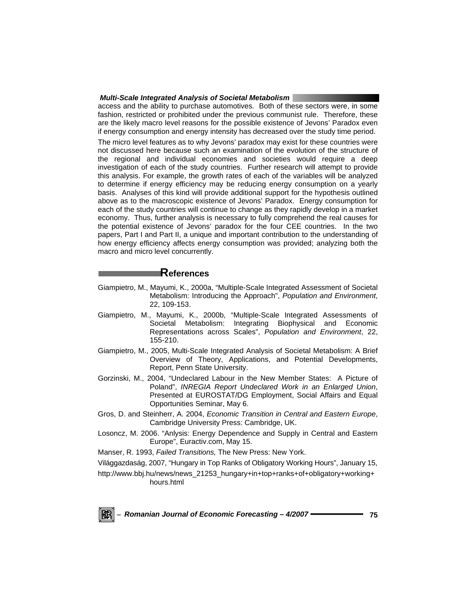access and the ability to purchase automotives. Both of these sectors were, in some fashion, restricted or prohibited under the previous communist rule. Therefore, these are the likely macro level reasons for the possible existence of Jevons' Paradox even if energy consumption and energy intensity has decreased over the study time period.

The micro level features as to why Jevons' paradox may exist for these countries were not discussed here because such an examination of the evolution of the structure of the regional and individual economies and societies would require a deep investigation of each of the study countries. Further research will attempt to provide this analysis. For example, the growth rates of each of the variables will be analyzed to determine if energy efficiency may be reducing energy consumption on a yearly basis. Analyses of this kind will provide additional support for the hypothesis outlined above as to the macroscopic existence of Jevons' Paradox. Energy consumption for each of the study countries will continue to change as they rapidly develop in a market economy. Thus, further analysis is necessary to fully comprehend the real causes for the potential existence of Jevons' paradox for the four CEE countries. In the two papers, Part I and Part II, a unique and important contribution to the understanding of how energy efficiency affects energy consumption was provided; analyzing both the macro and micro level concurrently.

# **References**

- Giampietro, M., Mayumi, K., 2000a, "Multiple-Scale Integrated Assessment of Societal Metabolism: Introducing the Approach", *Population and Environment*, 22, 109-153.
- Giampietro, M., Mayumi, K., 2000b, "Multiple-Scale Integrated Assessments of Societal Metabolism: Integrating Biophysical and Economic Representations across Scales", *Population and Environment*, 22, 155-210.
- Giampietro, M., 2005, Multi-Scale Integrated Analysis of Societal Metabolism: A Brief Overview of Theory, Applications, and Potential Developments, Report, Penn State University.
- Gorzinski, M., 2004, "Undeclared Labour in the New Member States: A Picture of Poland", *INREGIA Report Undeclared Work in an Enlarged Union*, Presented at EUROSTAT/DG Employment, Social Affairs and Equal Opportunities Seminar, May 6.
- Gros, D. and Steinherr, A. 2004, *Economic Transition in Central and Eastern Europe*, Cambridge University Press: Cambridge, UK.
- Losoncz, M. 2006. "Anlysis: Energy Dependence and Supply in Central and Eastern Europe", Euractiv.com, May 15.

Manser, R. 1993, *Failed Transitions,* The New Press: New York.

Világgazdaság, 2007, "Hungary in Top Ranks of Obligatory Working Hours", January 15,

http://www.bbj.hu/news/news\_21253\_hungary+in+top+ranks+of+obligatory+working+ hours.html